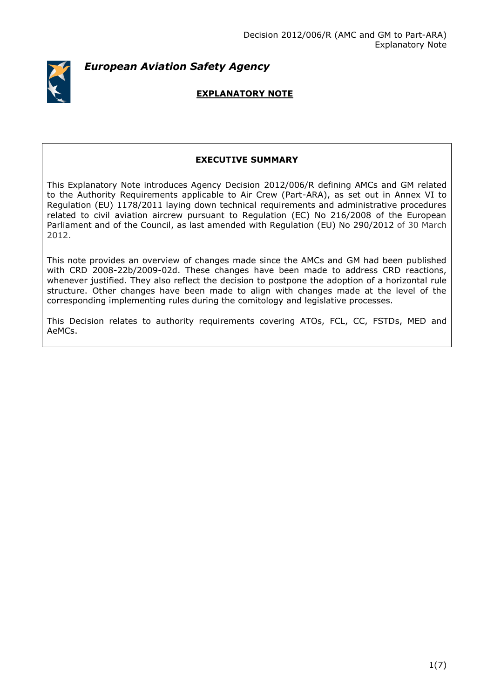

*European Aviation Safety Agency*

# **EXPLANATORY NOTE**

# **EXECUTIVE SUMMARY**

This Explanatory Note introduces Agency Decision 2012/006/R defining AMCs and GM related to the Authority Requirements applicable to Air Crew (Part-ARA), as set out in Annex VI to Regulation (EU) 1178/2011 laying down technical requirements and administrative procedures related to civil aviation aircrew pursuant to Regulation (EC) No 216/2008 of the European Parliament and of the Council, as last amended with Regulation (EU) No 290/2012 of 30 March 2012.

This note provides an overview of changes made since the AMCs and GM had been published with CRD 2008-22b/2009-02d. These changes have been made to address CRD reactions, whenever justified. They also reflect the decision to postpone the adoption of a horizontal rule structure. Other changes have been made to align with changes made at the level of the corresponding implementing rules during the comitology and legislative processes.

This Decision relates to authority requirements covering ATOs, FCL, CC, FSTDs, MED and AeMCs.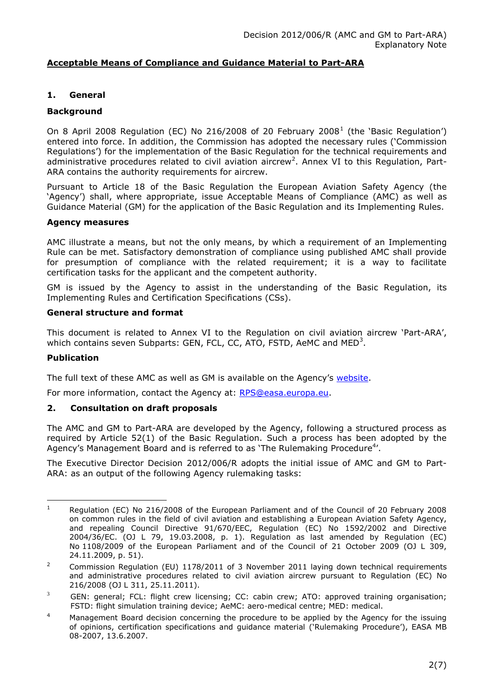# **Acceptable Means of Compliance and Guidance Material to Part-ARA**

# **1. General**

# **Background**

On 8 April 2008 Regulation (EC) No 216/2008 of 20 February 2008<sup>1</sup> (the 'Basic Regulation') entered into force. In addition, the Commission has adopted the necessary rules ('Commission Regulations') for the implementation of the Basic Regulation for the technical requirements and administrative procedures related to civil aviation aircrew<sup>2</sup>. Annex VI to this Regulation, Part-ARA contains the authority requirements for aircrew.

Pursuant to Article 18 of the Basic Regulation the European Aviation Safety Agency (the 'Agency') shall, where appropriate, issue Acceptable Means of Compliance (AMC) as well as Guidance Material (GM) for the application of the Basic Regulation and its Implementing Rules.

#### **Agency measures**

AMC illustrate a means, but not the only means, by which a requirement of an Implementing Rule can be met. Satisfactory demonstration of compliance using published AMC shall provide for presumption of compliance with the related requirement; it is a way to facilitate certification tasks for the applicant and the competent authority.

GM is issued by the Agency to assist in the understanding of the Basic Regulation, its Implementing Rules and Certification Specifications (CSs).

# **General structure and format**

This document is related to Annex VI to the Regulation on civil aviation aircrew 'Part-ARA', which contains seven Subparts: GEN, FCL, CC, ATO, FSTD, AeMC and MED<sup>3</sup>.

#### **Publication**

The full text of these AMC as well as GM is available on the Agency's [website.](http://www.easa.europa.eu/agency-measures/acceptable-means-of-compliance-and-guidance-material.php)

For more information, contact the Agency at: [RPS@easa.europa.eu.](mailto:RPS@easa.europa.eu)

#### **2. Consultation on draft proposals**

The AMC and GM to Part-ARA are developed by the Agency, following a structured process as required by Article 52(1) of the Basic Regulation. Such a process has been adopted by the Agency's Management Board and is referred to as 'The Rulemaking Procedure<sup>4</sup>'.

The Executive Director Decision 2012/006/R adopts the initial issue of AMC and GM to Part-ARA: as an output of the following Agency rulemaking tasks:

 $\overline{1}$ <sup>1</sup> Regulation (EC) No 216/2008 of the European Parliament and of the Council of 20 February 2008 on common rules in the field of civil aviation and establishing a European Aviation Safety Agency, and repealing Council Directive 91/670/EEC, Regulation (EC) No 1592/2002 and Directive 2004/36/EC. (OJ L 79, 19.03.2008, p. 1). Regulation as last amended by Regulation (EC) No 1108/2009 of the European Parliament and of the Council of 21 October 2009 (OJ L 309, 24.11.2009, p. 51).

<sup>&</sup>lt;sup>2</sup> Commission Regulation (EU)  $1178/2011$  of 3 November 2011 laying down technical requirements and administrative procedures related to civil aviation aircrew pursuant to Regulation (EC) No 216/2008 (OJ L 311, 25.11.2011).

 $3$  GEN: general; FCL: flight crew licensing; CC: cabin crew; ATO: approved training organisation; FSTD: flight simulation training device; AeMC: aero-medical centre; MED: medical.

 $4$  Management Board decision concerning the procedure to be applied by the Agency for the issuing of opinions, certification specifications and guidance material ('Rulemaking Procedure'), EASA MB 08-2007, 13.6.2007.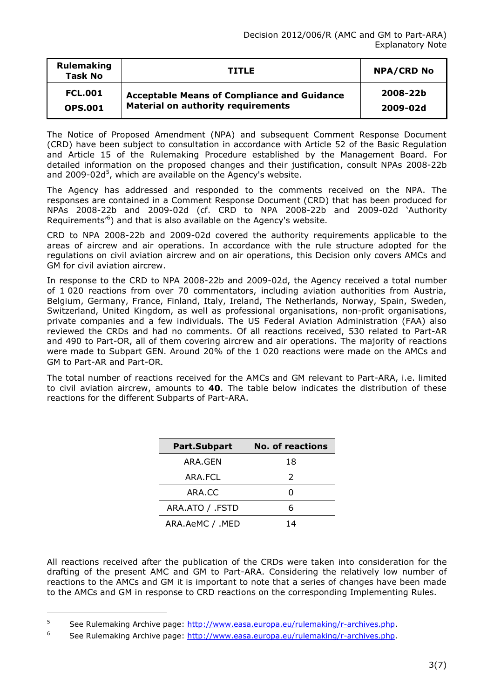| <b>Rulemaking</b><br><b>Task No</b> | <b>TITLE</b>                                       | <b>NPA/CRD No</b> |
|-------------------------------------|----------------------------------------------------|-------------------|
| <b>FCL.001</b>                      | <b>Acceptable Means of Compliance and Guidance</b> | 2008-22b          |
| <b>OPS.001</b>                      | <b>Material on authority requirements</b>          | 2009-02d          |

The Notice of Proposed Amendment (NPA) and subsequent Comment Response Document (CRD) have been subject to consultation in accordance with Article 52 of the Basic Regulation and Article 15 of the Rulemaking Procedure established by the Management Board. For detailed information on the proposed changes and their justification, consult NPAs 2008-22b and 2009-02d<sup>5</sup>, which are available on the Agency's website.

The Agency has addressed and responded to the comments received on the NPA. The responses are contained in a Comment Response Document (CRD) that has been produced for NPAs 2008-22b and 2009-02d (cf. CRD to NPA 2008-22b and 2009-02d 'Authority Requirements<sup>,6</sup>) and that is also available on the Agency's website.

CRD to NPA 2008-22b and 2009-02d covered the authority requirements applicable to the areas of aircrew and air operations. In accordance with the rule structure adopted for the regulations on civil aviation aircrew and on air operations, this Decision only covers AMCs and GM for civil aviation aircrew.

In response to the CRD to NPA 2008-22b and 2009-02d, the Agency received a total number of 1 020 reactions from over 70 commentators, including aviation authorities from Austria, Belgium, Germany, France, Finland, Italy, Ireland, The Netherlands, Norway, Spain, Sweden, Switzerland, United Kingdom, as well as professional organisations, non-profit organisations, private companies and a few individuals. The US Federal Aviation Administration (FAA) also reviewed the CRDs and had no comments. Of all reactions received, 530 related to Part-AR and 490 to Part-OR, all of them covering aircrew and air operations. The majority of reactions were made to Subpart GEN. Around 20% of the 1 020 reactions were made on the AMCs and GM to Part-AR and Part-OR.

The total number of reactions received for the AMCs and GM relevant to Part-ARA, i.e. limited to civil aviation aircrew, amounts to **40**. The table below indicates the distribution of these reactions for the different Subparts of Part-ARA.

| Part.Subpart    | <b>No. of reactions</b> |
|-----------------|-------------------------|
| ARA.GEN         | 18                      |
| ARA.FCL         | 2                       |
| ARA.CC          |                         |
| ARA.ATO / .FSTD | 6                       |
| ARA.AeMC / .MED | 14                      |

All reactions received after the publication of the CRDs were taken into consideration for the drafting of the present AMC and GM to Part-ARA. Considering the relatively low number of reactions to the AMCs and GM it is important to note that a series of changes have been made to the AMCs and GM in response to CRD reactions on the corresponding Implementing Rules.

<u>.</u>

<sup>&</sup>lt;sup>5</sup> See Rulemaking Archive page: [http://www.easa.europa.eu/rulemaking/r-archives.php.](http://www.easa.europa.eu/rulemaking/r-archives.php)

<sup>6</sup> See Rulemaking Archive page: [http://www.easa.europa.eu/rulemaking/r-archives.php.](http://www.easa.europa.eu/rulemaking/r-archives.php)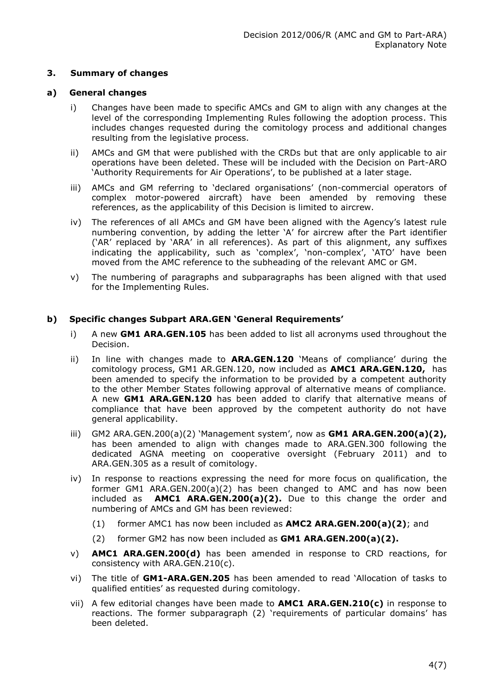# **3. Summary of changes**

# **a) General changes**

- i) Changes have been made to specific AMCs and GM to align with any changes at the level of the corresponding Implementing Rules following the adoption process. This includes changes requested during the comitology process and additional changes resulting from the legislative process.
- ii) AMCs and GM that were published with the CRDs but that are only applicable to air operations have been deleted. These will be included with the Decision on Part-ARO 'Authority Requirements for Air Operations', to be published at a later stage.
- iii) AMCs and GM referring to 'declared organisations' (non-commercial operators of complex motor-powered aircraft) have been amended by removing these references, as the applicability of this Decision is limited to aircrew.
- iv) The references of all AMCs and GM have been aligned with the Agency's latest rule numbering convention, by adding the letter 'A' for aircrew after the Part identifier ('AR' replaced by 'ARA' in all references). As part of this alignment, any suffixes indicating the applicability, such as 'complex', 'non-complex', 'ATO' have been moved from the AMC reference to the subheading of the relevant AMC or GM.
- v) The numbering of paragraphs and subparagraphs has been aligned with that used for the Implementing Rules.

# **b) Specific changes Subpart ARA.GEN 'General Requirements'**

- i) A new **GM1 ARA.GEN.105** has been added to list all acronyms used throughout the Decision.
- ii) In line with changes made to **ARA.GEN.120** 'Means of compliance' during the comitology process, GM1 AR.GEN.120, now included as **AMC1 ARA.GEN.120,** has been amended to specify the information to be provided by a competent authority to the other Member States following approval of alternative means of compliance. A new **GM1 ARA.GEN.120** has been added to clarify that alternative means of compliance that have been approved by the competent authority do not have general applicability.
- iii) GM2 ARA.GEN.200(a)(2) 'Management system', now as **GM1 ARA.GEN.200(a)(2),** has been amended to align with changes made to ARA.GEN.300 following the dedicated AGNA meeting on cooperative oversight (February 2011) and to ARA.GEN.305 as a result of comitology.
- iv) In response to reactions expressing the need for more focus on qualification, the former GM1 ARA.GEN.200(a)(2) has been changed to AMC and has now been included as **AMC1 ARA.GEN.200(a)(2).** Due to this change the order and numbering of AMCs and GM has been reviewed:
	- (1) former AMC1 has now been included as **AMC2 ARA.GEN.200(a)(2)**; and
	- (2) former GM2 has now been included as **GM1 ARA.GEN.200(a)(2).**
- v) **AMC1 ARA.GEN.200(d)** has been amended in response to CRD reactions, for consistency with ARA.GEN.210(c).
- vi) The title of **GM1-ARA.GEN.205** has been amended to read 'Allocation of tasks to qualified entities' as requested during comitology.
- vii) A few editorial changes have been made to **AMC1 ARA.GEN.210(c)** in response to reactions. The former subparagraph (2) 'requirements of particular domains' has been deleted.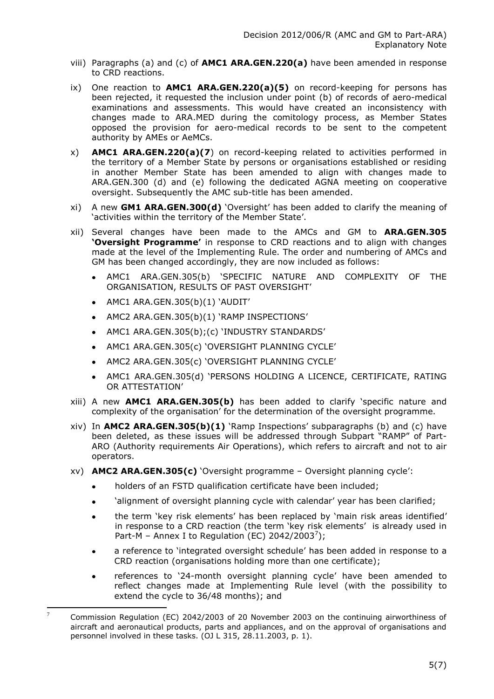- viii) Paragraphs (a) and (c) of **AMC1 ARA.GEN.220(a)** have been amended in response to CRD reactions.
- ix) One reaction to **AMC1 ARA.GEN.220(a)(5)** on record-keeping for persons has been rejected, it requested the inclusion under point (b) of records of aero-medical examinations and assessments. This would have created an inconsistency with changes made to ARA.MED during the comitology process, as Member States opposed the provision for aero-medical records to be sent to the competent authority by AMEs or AeMCs.
- x) **AMC1 ARA.GEN.220(a)(7**) on record-keeping related to activities performed in the territory of a Member State by persons or organisations established or residing in another Member State has been amended to align with changes made to ARA.GEN.300 (d) and (e) following the dedicated AGNA meeting on cooperative oversight. Subsequently the AMC sub-title has been amended.
- xi) A new **GM1 ARA.GEN.300(d)** 'Oversight' has been added to clarify the meaning of 'activities within the territory of the Member State'.
- xii) Several changes have been made to the AMCs and GM to **ARA.GEN.305 'Oversight Programme'** in response to CRD reactions and to align with changes made at the level of the Implementing Rule. The order and numbering of AMCs and GM has been changed accordingly, they are now included as follows:
	- AMC1 ARA.GEN.305(b) 'SPECIFIC NATURE AND COMPLEXITY OF THE ORGANISATION, RESULTS OF PAST OVERSIGHT'
	- $\bullet$  AMC1 ARA.GEN.305(b)(1) 'AUDIT'
	- AMC2 ARA.GEN.305(b)(1) 'RAMP INSPECTIONS'
	- AMC1 ARA.GEN.305(b);(c) 'INDUSTRY STANDARDS'  $\bullet$
	- AMC1 ARA.GEN.305(c) 'OVERSIGHT PLANNING CYCLE'
	- AMC2 ARA.GEN.305(c) 'OVERSIGHT PLANNING CYCLE'  $\bullet$
	- AMC1 ARA.GEN.305(d) 'PERSONS HOLDING A LICENCE, CERTIFICATE, RATING OR ATTESTATION'
- xiii) A new **AMC1 ARA.GEN.305(b)** has been added to clarify 'specific nature and complexity of the organisation' for the determination of the oversight programme.
- xiv) In **AMC2 ARA.GEN.305(b)(1)** 'Ramp Inspections' subparagraphs (b) and (c) have been deleted, as these issues will be addressed through Subpart "RAMP" of Part-ARO (Authority requirements Air Operations), which refers to aircraft and not to air operators.
- xv) **AMC2 ARA.GEN.305(c)** 'Oversight programme Oversight planning cycle':
	- holders of an FSTD qualification certificate have been included;  $\bullet$
	- 'alignment of oversight planning cycle with calendar' year has been clarified;  $\bullet$
	- the term 'key risk elements' has been replaced by 'main risk areas identified'  $\bullet$ in response to a CRD reaction (the term 'key risk elements' is already used in Part-M - Annex I to Regulation (EC) 2042/2003<sup>7</sup>);
	- a reference to 'integrated oversight schedule' has been added in response to a CRD reaction (organisations holding more than one certificate);
	- references to '24-month oversight planning cycle' have been amended to reflect changes made at Implementing Rule level (with the possibility to extend the cycle to 36/48 months); and

 $\overline{7}$ <sup>7</sup> Commission Regulation (EC) 2042/2003 of 20 November 2003 on the continuing airworthiness of aircraft and aeronautical products, parts and appliances, and on the approval of organisations and personnel involved in these tasks. (OJ L 315, 28.11.2003, p. 1).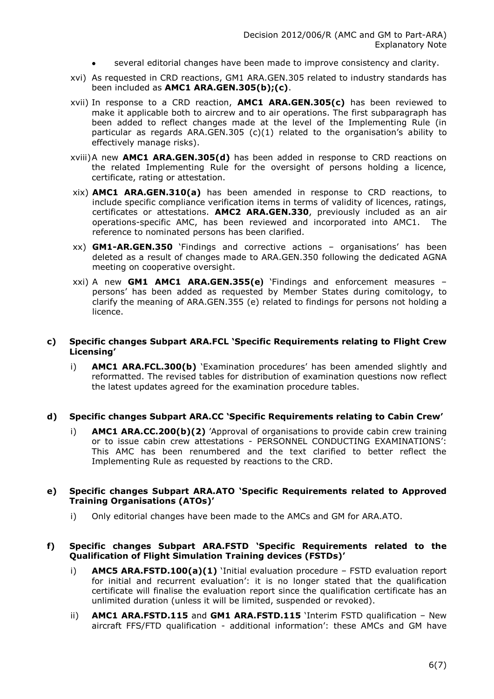- several editorial changes have been made to improve consistency and clarity.
- xvi) As requested in CRD reactions, GM1 ARA.GEN.305 related to industry standards has been included as **AMC1 ARA.GEN.305(b);(c)**.
- xvii) In response to a CRD reaction, **AMC1 ARA.GEN.305(c)** has been reviewed to make it applicable both to aircrew and to air operations. The first subparagraph has been added to reflect changes made at the level of the Implementing Rule (in particular as regards ARA.GEN.305 (c)(1) related to the organisation's ability to effectively manage risks).
- xviii)A new **AMC1 ARA.GEN.305(d)** has been added in response to CRD reactions on the related Implementing Rule for the oversight of persons holding a licence, certificate, rating or attestation.
- xix) **AMC1 ARA.GEN.310(a)** has been amended in response to CRD reactions, to include specific compliance verification items in terms of validity of licences, ratings, certificates or attestations. **AMC2 ARA.GEN.330**, previously included as an air operations-specific AMC, has been reviewed and incorporated into AMC1. The reference to nominated persons has been clarified.
- xx) **GM1-AR.GEN.350** 'Findings and corrective actions organisations' has been deleted as a result of changes made to ARA.GEN.350 following the dedicated AGNA meeting on cooperative oversight.
- xxi) A new **GM1 AMC1 ARA.GEN.355(e)** 'Findings and enforcement measures persons' has been added as requested by Member States during comitology, to clarify the meaning of ARA.GEN.355 (e) related to findings for persons not holding a licence.

#### **c) Specific changes Subpart ARA.FCL 'Specific Requirements relating to Flight Crew Licensing'**

i) **AMC1 ARA.FCL.300(b)** 'Examination procedures' has been amended slightly and reformatted. The revised tables for distribution of examination questions now reflect the latest updates agreed for the examination procedure tables.

#### **d) Specific changes Subpart ARA.CC 'Specific Requirements relating to Cabin Crew'**

i) **AMC1 ARA.CC.200(b)(2)** 'Approval of organisations to provide cabin crew training or to issue cabin crew attestations - PERSONNEL CONDUCTING EXAMINATIONS': This AMC has been renumbered and the text clarified to better reflect the Implementing Rule as requested by reactions to the CRD.

# **e) Specific changes Subpart ARA.ATO 'Specific Requirements related to Approved Training Organisations (ATOs)'**

i) Only editorial changes have been made to the AMCs and GM for ARA.ATO.

#### **f) Specific changes Subpart ARA.FSTD 'Specific Requirements related to the Qualification of Flight Simulation Training devices (FSTDs)'**

- i) **AMC5 ARA.FSTD.100(a)(1)** 'Initial evaluation procedure FSTD evaluation report for initial and recurrent evaluation': it is no longer stated that the qualification certificate will finalise the evaluation report since the qualification certificate has an unlimited duration (unless it will be limited, suspended or revoked).
- ii) **AMC1 ARA.FSTD.115** and **GM1 ARA.FSTD.115** 'Interim FSTD qualification New aircraft FFS/FTD qualification - additional information': these AMCs and GM have